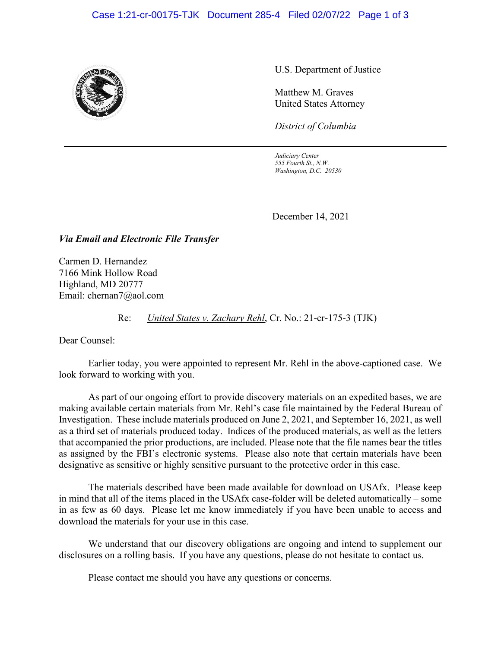## Case 1:21-cr-00175-TJK Document 285-4 Filed 02/07/22 Page 1 of 3



U.S. Department of Justice

Matthew M. Graves United States Attorney

*District of Columbia*

*Judiciary Center 555 Fourth St., N.W. Washington, D.C. 20530*

December 14, 2021

*Via Email and Electronic File Transfer*

Carmen D. Hernandez 7166 Mink Hollow Road Highland, MD 20777 Email: chernan7@aol.com

Re: *United States v. Zachary Rehl*, Cr. No.: 21-cr-175-3 (TJK)

Dear Counsel:

Earlier today, you were appointed to represent Mr. Rehl in the above-captioned case. We look forward to working with you.

As part of our ongoing effort to provide discovery materials on an expedited bases, we are making available certain materials from Mr. Rehl's case file maintained by the Federal Bureau of Investigation. These include materials produced on June 2, 2021, and September 16, 2021, as well as a third set of materials produced today. Indices of the produced materials, as well as the letters that accompanied the prior productions, are included. Please note that the file names bear the titles as assigned by the FBI's electronic systems. Please also note that certain materials have been designative as sensitive or highly sensitive pursuant to the protective order in this case.

The materials described have been made available for download on USAfx. Please keep in mind that all of the items placed in the USAfx case-folder will be deleted automatically – some in as few as 60 days. Please let me know immediately if you have been unable to access and download the materials for your use in this case.

We understand that our discovery obligations are ongoing and intend to supplement our disclosures on a rolling basis. If you have any questions, please do not hesitate to contact us.

Please contact me should you have any questions or concerns.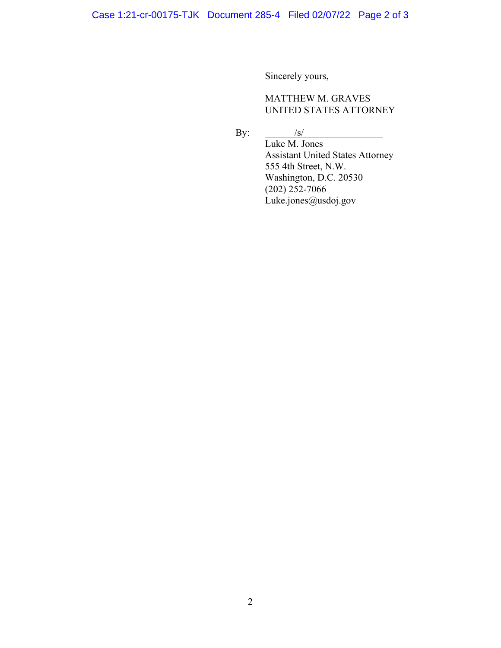Sincerely yours,

## MATTHEW M. GRAVES UNITED STATES ATTORNEY

By:  $/s/$ 

Luke M. Jones Assistant United States Attorney 555 4th Street, N.W. Washington, D.C. 20530  $(202)$  252-7066 Luke.jones@usdoj.gov